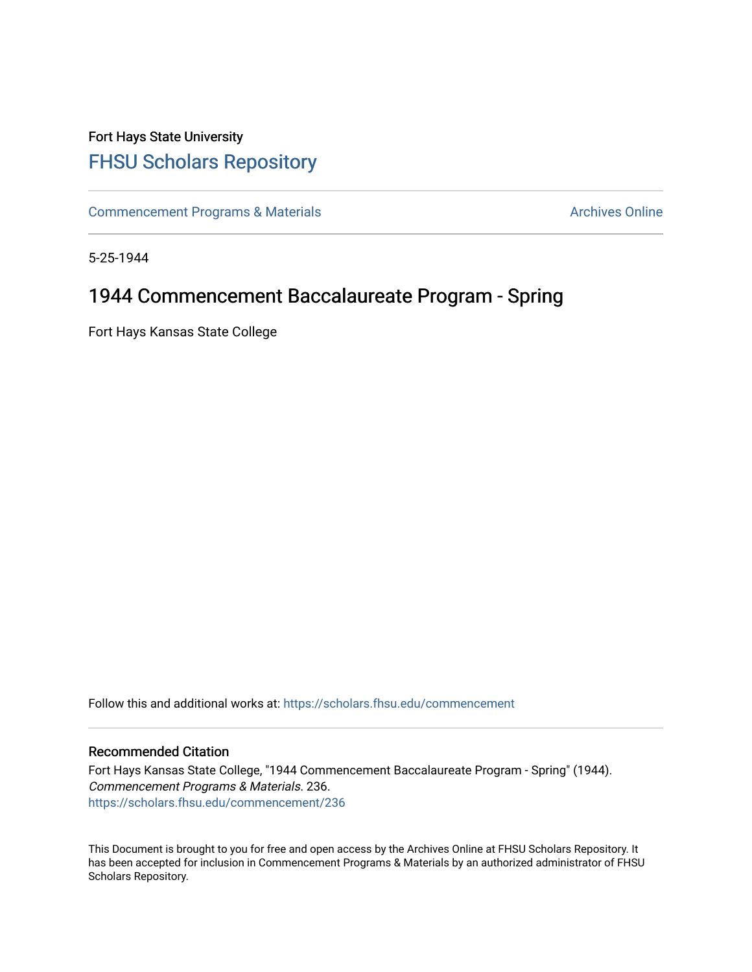# Fort Hays State University [FHSU Scholars Repository](https://scholars.fhsu.edu/)

[Commencement Programs & Materials](https://scholars.fhsu.edu/commencement) **Archives Online** Archives Online

5-25-1944

## 1944 Commencement Baccalaureate Program - Spring

Fort Hays Kansas State College

Follow this and additional works at: [https://scholars.fhsu.edu/commencement](https://scholars.fhsu.edu/commencement?utm_source=scholars.fhsu.edu%2Fcommencement%2F236&utm_medium=PDF&utm_campaign=PDFCoverPages)

### Recommended Citation

Fort Hays Kansas State College, "1944 Commencement Baccalaureate Program - Spring" (1944). Commencement Programs & Materials. 236. [https://scholars.fhsu.edu/commencement/236](https://scholars.fhsu.edu/commencement/236?utm_source=scholars.fhsu.edu%2Fcommencement%2F236&utm_medium=PDF&utm_campaign=PDFCoverPages)

This Document is brought to you for free and open access by the Archives Online at FHSU Scholars Repository. It has been accepted for inclusion in Commencement Programs & Materials by an authorized administrator of FHSU Scholars Repository.